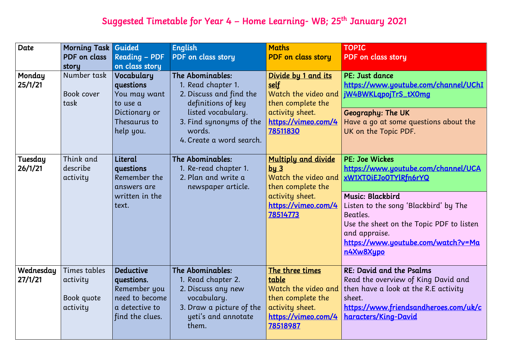# Suggested Timetable for Year 4 – Home Learning- WB; 25<sup>th</sup> January 2021

| Date                 | <b>Morning Task Guided</b><br>PDF on class<br>story | <b>Reading - PDF</b><br>on class story                                                                | <b>English</b><br>PDF on class story                                                                                                                                           | <b>Maths</b><br><b>PDF</b> on class story                                                                                             | <b>TOPIC</b><br><b>PDF</b> on class                                                                                                                               |
|----------------------|-----------------------------------------------------|-------------------------------------------------------------------------------------------------------|--------------------------------------------------------------------------------------------------------------------------------------------------------------------------------|---------------------------------------------------------------------------------------------------------------------------------------|-------------------------------------------------------------------------------------------------------------------------------------------------------------------|
| Monday<br>25/1/21    | Number task<br>Book cover<br>task                   | Vocabulary<br>questions<br>You may want<br>to use a<br>Dictionary or<br>Thesaurus to<br>help you.     | The Abominables:<br>1. Read chapter 1.<br>2. Discuss and find the<br>definitions of key<br>listed vocabulary.<br>3. Find synonyms of the<br>words.<br>4. Create a word search. | Divide by 1 and its<br><u>self</u><br>Watch the video and<br>then complete the<br>activity sheet.<br>https://vimeo.com/4<br>78511830  | PE: Just dan<br>https://www<br>jW4BWKLqp<br>Geography:<br>Have a go at<br>UK on the To                                                                            |
| Tuesday<br>26/1/21   | Think and<br>describe<br>activity                   | Literal<br>questions<br>Remember the<br>answers are<br>written in the<br>text.                        | The Abominables:<br>1. Re-read chapter 1.<br>2. Plan and write a<br>newspaper article.                                                                                         | <b>Multiply and divide</b><br>$bu3$<br>Watch the video and<br>then complete the<br>activity sheet.<br>https://vimeo.com/4<br>78514773 | <b>PE: Joe Wick</b><br>https://www<br>xW1XTOiEJo<br><b>Music: Black</b><br>Listen to the<br>Beatles.<br>Use the sheet<br>and appraise<br>https://www<br>n4Xw8Xypo |
| Wednesday<br>27/1/21 | Times tables<br>activity<br>Book quote<br>activity  | <b>Deductive</b><br>questions.<br>Remember you<br>need to become<br>a detective to<br>find the clues. | The Abominables:<br>1. Read chapter 2.<br>2. Discuss any new<br>vocabulary.<br>3. Draw a picture of the<br>yeti's and annotate<br>them.                                        | The three times<br>table<br>Watch the video and<br>then complete the<br>activity sheet.<br>https://vimeo.com/4<br><u>78518987</u>     | RE: David an<br>Read the ove<br>then have a<br>sheet.<br>https://www<br>haracters/Ki                                                                              |

## s story

### 1ce

<mark>w.youtube.com/channel/UChI</mark> ojTrS\_tX0mg

The UK t some questions about the opic PDF.

### kes

w.youtube.com/channel/UCA 0TYlRfn6rYQ

## kbird $\overline{\phantom{a}}$

e song 'Blackbird' by The

et on the Topic PDF to listen se.

<u>w.youtube.com/watch?v=Ma</u>

nd the Psalms erview of King David and look at the R.E activity

w.friendsandheroes.com/uk/c ing-David